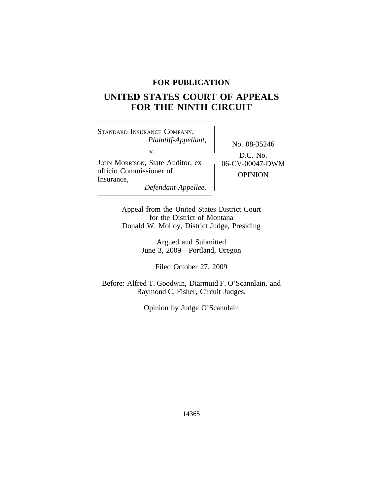# **FOR PUBLICATION**

# **UNITED STATES COURT OF APPEALS FOR THE NINTH CIRCUIT**

<sup>S</sup>TANDARD INSURANCE COMPANY, *Plaintiff-Appellant,* No. 08-35246 v. JOHN MORRISON, State Auditor, ex  $\left( 0.6-CV-0.0047-DWM \right)$ officio Commissioner of OPINION Insurance, *Defendant-Appellee.*

D.C. No.

Appeal from the United States District Court for the District of Montana Donald W. Molloy, District Judge, Presiding

> Argued and Submitted June 3, 2009—Portland, Oregon

> > Filed October 27, 2009

Before: Alfred T. Goodwin, Diarmuid F. O'Scannlain, and Raymond C. Fisher, Circuit Judges.

Opinion by Judge O'Scannlain

14365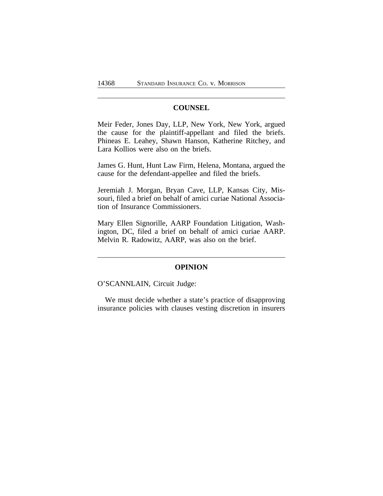# **COUNSEL**

Meir Feder, Jones Day, LLP, New York, New York, argued the cause for the plaintiff-appellant and filed the briefs. Phineas E. Leahey, Shawn Hanson, Katherine Ritchey, and Lara Kollios were also on the briefs.

James G. Hunt, Hunt Law Firm, Helena, Montana, argued the cause for the defendant-appellee and filed the briefs.

Jeremiah J. Morgan, Bryan Cave, LLP, Kansas City, Missouri, filed a brief on behalf of amici curiae National Association of Insurance Commissioners.

Mary Ellen Signorille, AARP Foundation Litigation, Washington, DC, filed a brief on behalf of amici curiae AARP. Melvin R. Radowitz, AARP, was also on the brief.

#### **OPINION**

O'SCANNLAIN, Circuit Judge:

We must decide whether a state's practice of disapproving insurance policies with clauses vesting discretion in insurers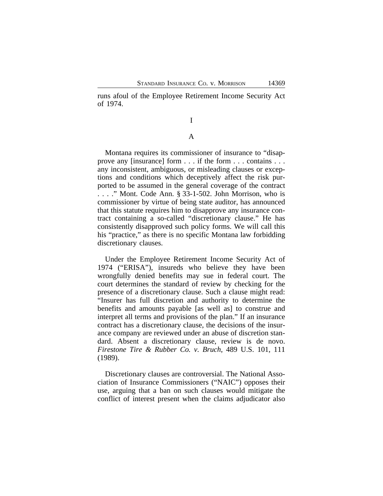runs afoul of the Employee Retirement Income Security Act of 1974.

# I

# A

Montana requires its commissioner of insurance to "disapprove any [insurance] form . . . if the form . . . contains . . . any inconsistent, ambiguous, or misleading clauses or exceptions and conditions which deceptively affect the risk purported to be assumed in the general coverage of the contract . . . ." Mont. Code Ann. § 33-1-502. John Morrison, who is commissioner by virtue of being state auditor, has announced that this statute requires him to disapprove any insurance contract containing a so-called "discretionary clause." He has consistently disapproved such policy forms. We will call this his "practice," as there is no specific Montana law forbidding discretionary clauses.

Under the Employee Retirement Income Security Act of 1974 ("ERISA"), insureds who believe they have been wrongfully denied benefits may sue in federal court. The court determines the standard of review by checking for the presence of a discretionary clause. Such a clause might read: "Insurer has full discretion and authority to determine the benefits and amounts payable [as well as] to construe and interpret all terms and provisions of the plan." If an insurance contract has a discretionary clause, the decisions of the insurance company are reviewed under an abuse of discretion standard. Absent a discretionary clause, review is de novo. *Firestone Tire & Rubber Co. v. Bruch*, 489 U.S. 101, 111 (1989).

Discretionary clauses are controversial. The National Association of Insurance Commissioners ("NAIC") opposes their use, arguing that a ban on such clauses would mitigate the conflict of interest present when the claims adjudicator also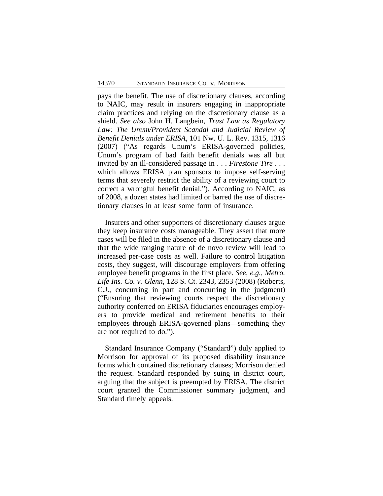pays the benefit. The use of discretionary clauses, according to NAIC, may result in insurers engaging in inappropriate claim practices and relying on the discretionary clause as a shield. *See also* John H. Langbein, *Trust Law as Regulatory Law: The Unum/Provident Scandal and Judicial Review of Benefit Denials under ERISA*, 101 Nw. U. L. Rev. 1315, 1316 (2007) ("As regards Unum's ERISA-governed policies, Unum's program of bad faith benefit denials was all but invited by an ill-considered passage in . . . *Firestone Tire* . . . which allows ERISA plan sponsors to impose self-serving terms that severely restrict the ability of a reviewing court to correct a wrongful benefit denial."). According to NAIC, as of 2008, a dozen states had limited or barred the use of discretionary clauses in at least some form of insurance.

Insurers and other supporters of discretionary clauses argue they keep insurance costs manageable. They assert that more cases will be filed in the absence of a discretionary clause and that the wide ranging nature of de novo review will lead to increased per-case costs as well. Failure to control litigation costs, they suggest, will discourage employers from offering employee benefit programs in the first place. *See*, *e.g., Metro. Life Ins. Co. v. Glenn*, 128 S. Ct. 2343, 2353 (2008) (Roberts, C.J., concurring in part and concurring in the judgment) ("Ensuring that reviewing courts respect the discretionary authority conferred on ERISA fiduciaries encourages employers to provide medical and retirement benefits to their employees through ERISA-governed plans—something they are not required to do.").

Standard Insurance Company ("Standard") duly applied to Morrison for approval of its proposed disability insurance forms which contained discretionary clauses; Morrison denied the request. Standard responded by suing in district court, arguing that the subject is preempted by ERISA. The district court granted the Commissioner summary judgment, and Standard timely appeals.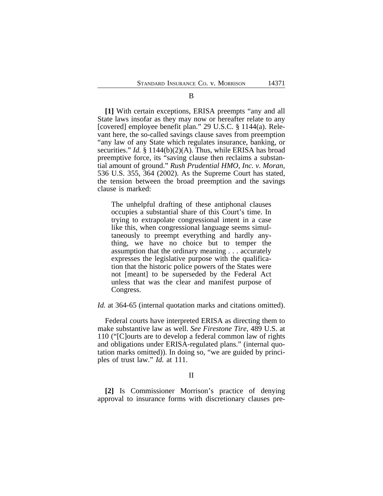B

**[1]** With certain exceptions, ERISA preempts "any and all State laws insofar as they may now or hereafter relate to any [covered] employee benefit plan." 29 U.S.C. § 1144(a). Relevant here, the so-called savings clause saves from preemption "any law of any State which regulates insurance, banking, or securities." *Id.* § 1144(b)(2)(A). Thus, while ERISA has broad preemptive force, its "saving clause then reclaims a substantial amount of ground." *Rush Prudential HMO, Inc. v. Moran*, 536 U.S. 355, 364 (2002). As the Supreme Court has stated, the tension between the broad preemption and the savings clause is marked:

The unhelpful drafting of these antiphonal clauses occupies a substantial share of this Court's time. In trying to extrapolate congressional intent in a case like this, when congressional language seems simultaneously to preempt everything and hardly anything, we have no choice but to temper the assumption that the ordinary meaning . . . accurately expresses the legislative purpose with the qualification that the historic police powers of the States were not [meant] to be superseded by the Federal Act unless that was the clear and manifest purpose of Congress.

*Id.* at 364-65 (internal quotation marks and citations omitted).

Federal courts have interpreted ERISA as directing them to make substantive law as well. *See Firestone Tire*, 489 U.S. at 110 ("[C]ourts are to develop a federal common law of rights and obligations under ERISA-regulated plans." (internal quotation marks omitted)). In doing so, "we are guided by principles of trust law." *Id.* at 111.

**[2]** Is Commissioner Morrison's practice of denying approval to insurance forms with discretionary clauses pre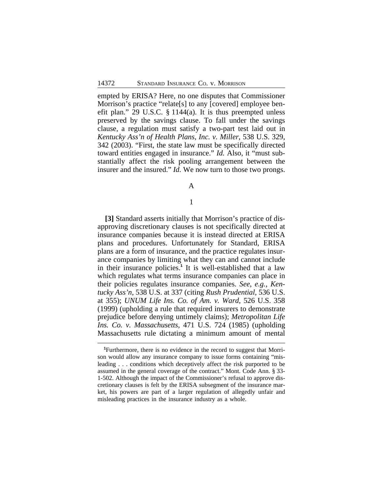empted by ERISA? Here, no one disputes that Commissioner Morrison's practice "relate[s] to any [covered] employee benefit plan." 29 U.S.C. § 1144(a). It is thus preempted unless preserved by the savings clause. To fall under the savings clause, a regulation must satisfy a two-part test laid out in *Kentucky Ass'n of Health Plans, Inc. v. Miller*, 538 U.S. 329, 342 (2003). "First, the state law must be specifically directed toward entities engaged in insurance." *Id.* Also, it "must substantially affect the risk pooling arrangement between the insurer and the insured." *Id.* We now turn to those two prongs.

A

# 1

**[3]** Standard asserts initially that Morrison's practice of disapproving discretionary clauses is not specifically directed at insurance companies because it is instead directed at ERISA plans and procedures. Unfortunately for Standard, ERISA plans are a form of insurance, and the practice regulates insurance companies by limiting what they can and cannot include in their insurance policies.<sup>1</sup> It is well-established that a law which regulates what terms insurance companies can place in their policies regulates insurance companies. *See*, *e.g., Kentucky Ass'n*, 538 U.S. at 337 (citing *Rush Prudential*, 536 U.S. at 355); *UNUM Life Ins. Co. of Am. v. Ward*, 526 U.S. 358 (1999) (upholding a rule that required insurers to demonstrate prejudice before denying untimely claims); *Metropolitan Life Ins. Co. v. Massachusetts*, 471 U.S. 724 (1985) (upholding Massachusetts rule dictating a minimum amount of mental

**<sup>1</sup>**Furthermore, there is no evidence in the record to suggest that Morrison would allow any insurance company to issue forms containing "misleading . . . conditions which deceptively affect the risk purported to be assumed in the general coverage of the contract." Mont. Code Ann. § 33- 1-502. Although the impact of the Commissioner's refusal to approve discretionary clauses is felt by the ERISA subsegment of the insurance market, his powers are part of a larger regulation of allegedly unfair and misleading practices in the insurance industry as a whole.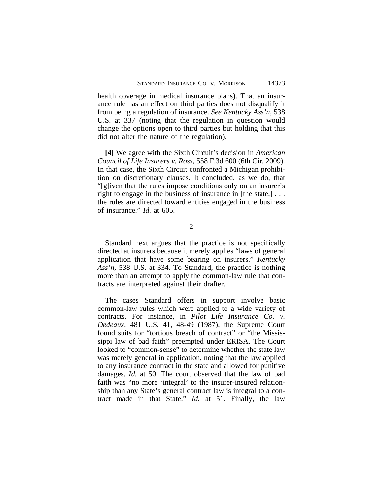health coverage in medical insurance plans). That an insurance rule has an effect on third parties does not disqualify it from being a regulation of insurance. *See Kentucky Ass'n*, 538 U.S. at 337 (noting that the regulation in question would change the options open to third parties but holding that this did not alter the nature of the regulation).

**[4]** We agree with the Sixth Circuit's decision in *American Council of Life Insurers v. Ross*, 558 F.3d 600 (6th Cir. 2009). In that case, the Sixth Circuit confronted a Michigan prohibition on discretionary clauses. It concluded, as we do, that "[g]iven that the rules impose conditions only on an insurer's right to engage in the business of insurance in [the state,]... the rules are directed toward entities engaged in the business of insurance." *Id.* at 605.

2

Standard next argues that the practice is not specifically directed at insurers because it merely applies "laws of general application that have some bearing on insurers." *Kentucky Ass'n*, 538 U.S. at 334. To Standard, the practice is nothing more than an attempt to apply the common-law rule that contracts are interpreted against their drafter.

The cases Standard offers in support involve basic common-law rules which were applied to a wide variety of contracts. For instance, in *Pilot Life Insurance Co. v. Dedeaux,* 481 U.S. 41, 48-49 (1987), the Supreme Court found suits for "tortious breach of contract" or "the Mississippi law of bad faith" preempted under ERISA. The Court looked to "common-sense" to determine whether the state law was merely general in application, noting that the law applied to any insurance contract in the state and allowed for punitive damages. *Id.* at 50. The court observed that the law of bad faith was "no more 'integral' to the insurer-insured relationship than any State's general contract law is integral to a contract made in that State." *Id.* at 51. Finally, the law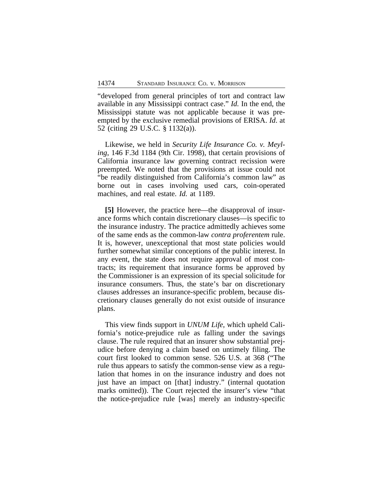"developed from general principles of tort and contract law available in any Mississippi contract case." *Id.* In the end, the Mississippi statute was not applicable because it was preempted by the exclusive remedial provisions of ERISA. *Id*. at 52 (citing 29 U.S.C. § 1132(a)).

Likewise, we held in *Security Life Insurance Co. v. Meyling*, 146 F.3d 1184 (9th Cir. 1998), that certain provisions of California insurance law governing contract recission were preempted. We noted that the provisions at issue could not "be readily distinguished from California's common law" as borne out in cases involving used cars, coin-operated machines, and real estate. *Id.* at 1189.

**[5]** However, the practice here—the disapproval of insurance forms which contain discretionary clauses—is specific to the insurance industry. The practice admittedly achieves some of the same ends as the common-law *contra proferentem* rule. It is, however, unexceptional that most state policies would further somewhat similar conceptions of the public interest. In any event, the state does not require approval of most contracts; its requirement that insurance forms be approved by the Commissioner is an expression of its special solicitude for insurance consumers. Thus, the state's bar on discretionary clauses addresses an insurance-specific problem, because discretionary clauses generally do not exist outside of insurance plans.

This view finds support in *UNUM Life*, which upheld California's notice-prejudice rule as falling under the savings clause. The rule required that an insurer show substantial prejudice before denying a claim based on untimely filing. The court first looked to common sense. 526 U.S. at 368 ("The rule thus appears to satisfy the common-sense view as a regulation that homes in on the insurance industry and does not just have an impact on [that] industry." (internal quotation marks omitted)). The Court rejected the insurer's view "that the notice-prejudice rule [was] merely an industry-specific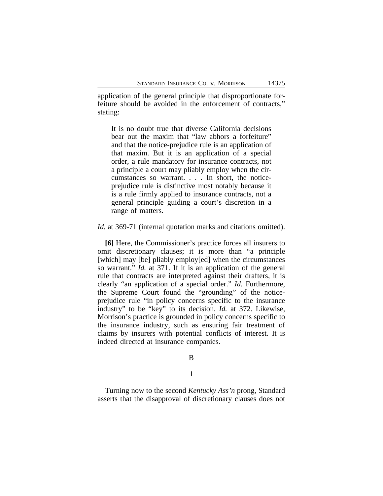application of the general principle that disproportionate forfeiture should be avoided in the enforcement of contracts," stating:

It is no doubt true that diverse California decisions bear out the maxim that "law abhors a forfeiture" and that the notice-prejudice rule is an application of that maxim. But it is an application of a special order, a rule mandatory for insurance contracts, not a principle a court may pliably employ when the circumstances so warrant. . . . In short, the noticeprejudice rule is distinctive most notably because it is a rule firmly applied to insurance contracts, not a general principle guiding a court's discretion in a range of matters.

*Id.* at 369-71 (internal quotation marks and citations omitted).

**[6]** Here, the Commissioner's practice forces all insurers to omit discretionary clauses; it is more than "a principle [which] may [be] pliably employ[ed] when the circumstances so warrant." *Id.* at 371. If it is an application of the general rule that contracts are interpreted against their drafters, it is clearly "an application of a special order." *Id*. Furthermore, the Supreme Court found the "grounding" of the noticeprejudice rule "in policy concerns specific to the insurance industry" to be "key" to its decision. *Id.* at 372. Likewise, Morrison's practice is grounded in policy concerns specific to the insurance industry, such as ensuring fair treatment of claims by insurers with potential conflicts of interest. It is indeed directed at insurance companies.

B

1

Turning now to the second *Kentucky Ass'n* prong, Standard asserts that the disapproval of discretionary clauses does not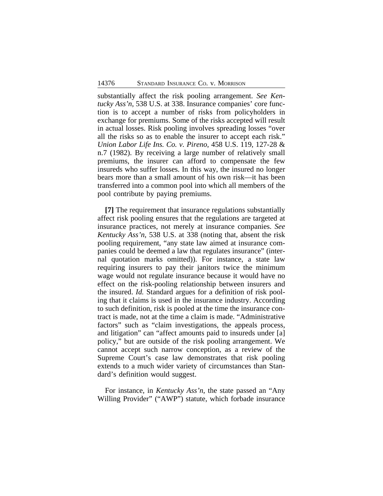substantially affect the risk pooling arrangement. *See Kentucky Ass'n*, 538 U.S. at 338. Insurance companies' core function is to accept a number of risks from policyholders in exchange for premiums. Some of the risks accepted will result in actual losses. Risk pooling involves spreading losses "over all the risks so as to enable the insurer to accept each risk." *Union Labor Life Ins. Co. v. Pireno*, 458 U.S. 119, 127-28 & n.7 (1982). By receiving a large number of relatively small premiums, the insurer can afford to compensate the few insureds who suffer losses. In this way, the insured no longer bears more than a small amount of his own risk—it has been transferred into a common pool into which all members of the pool contribute by paying premiums.

**[7]** The requirement that insurance regulations substantially affect risk pooling ensures that the regulations are targeted at insurance practices, not merely at insurance companies. *See Kentucky Ass'n*, 538 U.S. at 338 (noting that, absent the risk pooling requirement, "any state law aimed at insurance companies could be deemed a law that regulates insurance" (internal quotation marks omitted)). For instance, a state law requiring insurers to pay their janitors twice the minimum wage would not regulate insurance because it would have no effect on the risk-pooling relationship between insurers and the insured. *Id.* Standard argues for a definition of risk pooling that it claims is used in the insurance industry. According to such definition, risk is pooled at the time the insurance contract is made, not at the time a claim is made. "Administrative factors" such as "claim investigations, the appeals process, and litigation" can "affect amounts paid to insureds under [a] policy," but are outside of the risk pooling arrangement. We cannot accept such narrow conception, as a review of the Supreme Court's case law demonstrates that risk pooling extends to a much wider variety of circumstances than Standard's definition would suggest.

For instance, in *Kentucky Ass'n*, the state passed an "Any Willing Provider" ("AWP") statute, which forbade insurance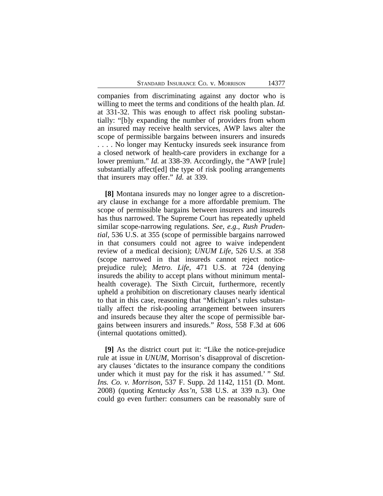companies from discriminating against any doctor who is willing to meet the terms and conditions of the health plan. *Id.* at 331-32. This was enough to affect risk pooling substantially: "[b]y expanding the number of providers from whom an insured may receive health services, AWP laws alter the scope of permissible bargains between insurers and insureds . . . . No longer may Kentucky insureds seek insurance from a closed network of health-care providers in exchange for a lower premium." *Id.* at 338-39. Accordingly, the "AWP [rule] substantially affect[ed] the type of risk pooling arrangements that insurers may offer." *Id.* at 339.

**[8]** Montana insureds may no longer agree to a discretionary clause in exchange for a more affordable premium. The scope of permissible bargains between insurers and insureds has thus narrowed. The Supreme Court has repeatedly upheld similar scope-narrowing regulations. *See, e.g.*, *Rush Prudential*, 536 U.S. at 355 (scope of permissible bargains narrowed in that consumers could not agree to waive independent review of a medical decision); *UNUM Life*, 526 U.S. at 358 (scope narrowed in that insureds cannot reject noticeprejudice rule); *Metro. Life*, 471 U.S. at 724 (denying insureds the ability to accept plans without minimum mentalhealth coverage). The Sixth Circuit, furthermore, recently upheld a prohibition on discretionary clauses nearly identical to that in this case, reasoning that "Michigan's rules substantially affect the risk-pooling arrangement between insurers and insureds because they alter the scope of permissible bargains between insurers and insureds." *Ross*, 558 F.3d at 606 (internal quotations omitted).

**[9]** As the district court put it: "Like the notice-prejudice rule at issue in *UNUM*, Morrison's disapproval of discretionary clauses 'dictates to the insurance company the conditions under which it must pay for the risk it has assumed.' " *Std. Ins. Co. v. Morrison*, 537 F. Supp. 2d 1142, 1151 (D. Mont. 2008) (quoting *Kentucky Ass'n*, 538 U.S. at 339 n.3). One could go even further: consumers can be reasonably sure of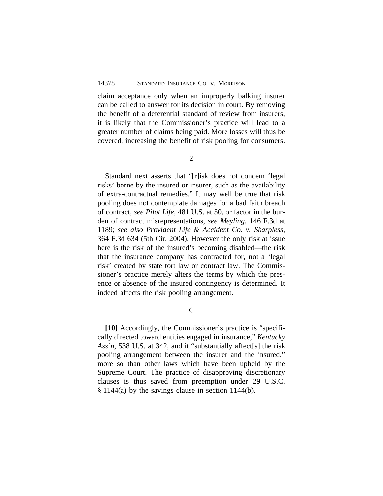claim acceptance only when an improperly balking insurer can be called to answer for its decision in court. By removing the benefit of a deferential standard of review from insurers, it is likely that the Commissioner's practice will lead to a greater number of claims being paid. More losses will thus be covered, increasing the benefit of risk pooling for consumers.

Standard next asserts that "[r]isk does not concern 'legal risks' borne by the insured or insurer, such as the availability of extra-contractual remedies." It may well be true that risk pooling does not contemplate damages for a bad faith breach of contract, *see Pilot Life*, 481 U.S. at 50, or factor in the burden of contract misrepresentations, *see Meyling*, 146 F.3d at 1189; *see also Provident Life & Accident Co. v. Sharpless*, 364 F.3d 634 (5th Cir. 2004). However the only risk at issue here is the risk of the insured's becoming disabled—the risk that the insurance company has contracted for, not a 'legal risk' created by state tort law or contract law. The Commissioner's practice merely alters the terms by which the presence or absence of the insured contingency is determined. It indeed affects the risk pooling arrangement.

C

**[10]** Accordingly, the Commissioner's practice is "specifically directed toward entities engaged in insurance," *Kentucky Ass'n*, 538 U.S. at 342, and it "substantially affect[s] the risk pooling arrangement between the insurer and the insured," more so than other laws which have been upheld by the Supreme Court. The practice of disapproving discretionary clauses is thus saved from preemption under 29 U.S.C. § 1144(a) by the savings clause in section 1144(b).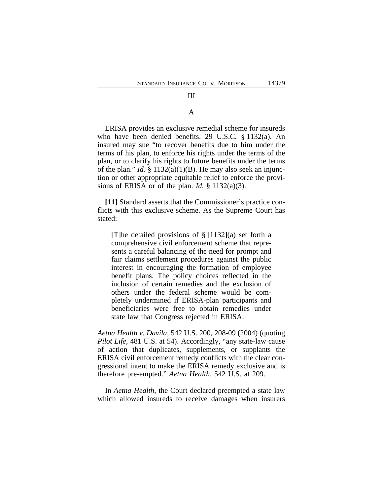# III

## A

ERISA provides an exclusive remedial scheme for insureds who have been denied benefits. 29 U.S.C. § 1132(a). An insured may sue "to recover benefits due to him under the terms of his plan, to enforce his rights under the terms of the plan, or to clarify his rights to future benefits under the terms of the plan." *Id.* § 1132(a)(1)(B). He may also seek an injunction or other appropriate equitable relief to enforce the provisions of ERISA or of the plan. *Id.*  $\S 1132(a)(3)$ .

**[11]** Standard asserts that the Commissioner's practice conflicts with this exclusive scheme. As the Supreme Court has stated:

[T]he detailed provisions of § [1132](a) set forth a comprehensive civil enforcement scheme that represents a careful balancing of the need for prompt and fair claims settlement procedures against the public interest in encouraging the formation of employee benefit plans. The policy choices reflected in the inclusion of certain remedies and the exclusion of others under the federal scheme would be completely undermined if ERISA-plan participants and beneficiaries were free to obtain remedies under state law that Congress rejected in ERISA.

*Aetna Health v. Davila*, 542 U.S. 200, 208-09 (2004) (quoting *Pilot Life*, 481 U.S. at 54). Accordingly, "any state-law cause of action that duplicates, supplements, or supplants the ERISA civil enforcement remedy conflicts with the clear congressional intent to make the ERISA remedy exclusive and is therefore pre-empted." *Aetna Health*, 542 U.S. at 209.

In *Aetna Health*, the Court declared preempted a state law which allowed insureds to receive damages when insurers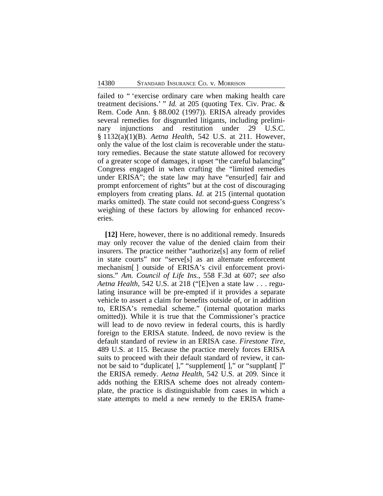failed to " 'exercise ordinary care when making health care treatment decisions.' " *Id.* at 205 (quoting Tex. Civ. Prac. & Rem. Code Ann. § 88.002 (1997)). ERISA already provides several remedies for disgruntled litigants, including preliminary injunctions and restitution under 29 U.S.C. § 1132(a)(1)(B). *Aetna Health*, 542 U.S. at 211. However, only the value of the lost claim is recoverable under the statutory remedies. Because the state statute allowed for recovery of a greater scope of damages, it upset "the careful balancing" Congress engaged in when crafting the "limited remedies under ERISA"; the state law may have "ensur[ed] fair and prompt enforcement of rights" but at the cost of discouraging employers from creating plans. *Id.* at 215 (internal quotation marks omitted). The state could not second-guess Congress's weighing of these factors by allowing for enhanced recoveries.

**[12]** Here, however, there is no additional remedy. Insureds may only recover the value of the denied claim from their insurers. The practice neither "authorize[s] any form of relief in state courts" nor "serve[s] as an alternate enforcement mechanism[ ] outside of ERISA's civil enforcement provisions." *Am. Council of Life Ins.*, 558 F.3d at 607; *see also Aetna Health*, 542 U.S. at 218 ("[E]ven a state law . . . regulating insurance will be pre-empted if it provides a separate vehicle to assert a claim for benefits outside of, or in addition to, ERISA's remedial scheme." (internal quotation marks omitted)). While it is true that the Commissioner's practice will lead to de novo review in federal courts, this is hardly foreign to the ERISA statute. Indeed, de novo review is the default standard of review in an ERISA case. *Firestone Tire*, 489 U.S. at 115. Because the practice merely forces ERISA suits to proceed with their default standard of review, it cannot be said to "duplicate" [ ]," "supplement" [ ]," or "supplant" [ ]" the ERISA remedy. *Aetna Health*, 542 U.S. at 209. Since it adds nothing the ERISA scheme does not already contemplate, the practice is distinguishable from cases in which a state attempts to meld a new remedy to the ERISA frame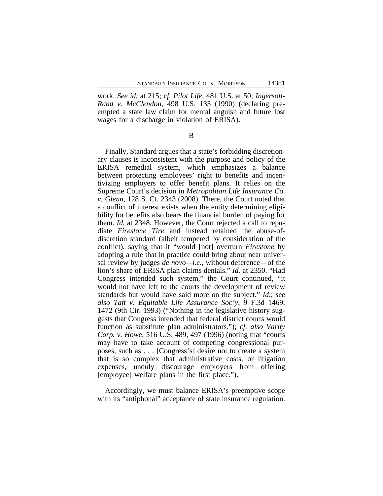work. *See id.* at 215; *cf. Pilot Life*, 481 U.S. at 50; *Ingersoll-Rand v. McClendon*, 498 U.S. 133 (1990) (declaring preempted a state law claim for mental anguish and future lost wages for a discharge in violation of ERISA).

B

Finally, Standard argues that a state's forbidding discretionary clauses is inconsistent with the purpose and policy of the ERISA remedial system, which emphasizes a balance between protecting employees' right to benefits and incentivizing employers to offer benefit plans. It relies on the Supreme Court's decision in *Metropolitan Life Insurance Co. v. Glenn*, 128 S. Ct. 2343 (2008). There, the Court noted that a conflict of interest exists when the entity determining eligibility for benefits also bears the financial burden of paying for them. *Id.* at 2348. However, the Court rejected a call to repudiate *Firestone Tire* and instead retained the abuse-ofdiscretion standard (albeit tempered by consideration of the conflict), saying that it "would [not] overturn *Firestone* by adopting a rule that in practice could bring about near universal review by judges *de novo—i.e.*, without deference—of the lion's share of ERISA plan claims denials." *Id.* at 2350. "Had Congress intended such system," the Court continued, "it would not have left to the courts the development of review standards but would have said more on the subject." *Id.*; *see also Taft v. Equitable Life Assurance Soc'y*, 9 F.3d 1469, 1472 (9th Cir. 1993) ("Nothing in the legislative history suggests that Congress intended that federal district courts would function as substitute plan administrators."); *cf. also Varity Corp. v. Howe*, 516 U.S. 489, 497 (1996) (noting that "courts may have to take account of competing congressional purposes, such as . . . [Congress's] desire not to create a system that is so complex that administrative costs, or litigation expenses, unduly discourage employers from offering [employee] welfare plans in the first place.").

Accordingly, we must balance ERISA's preemptive scope with its "antiphonal" acceptance of state insurance regulation.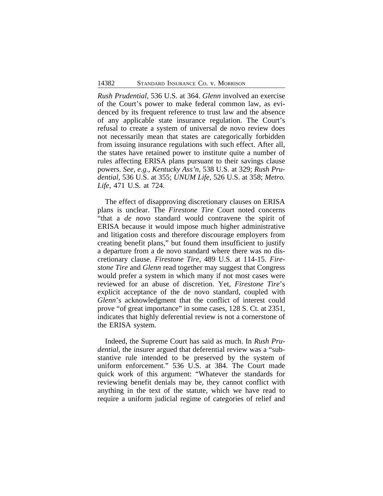*Rush Prudential*, 536 U.S. at 364. *Glenn* involved an exercise of the Court's power to make federal common law, as evidenced by its frequent reference to trust law and the absence of any applicable state insurance regulation. The Court's refusal to create a system of universal de novo review does not necessarily mean that states are categorically forbidden from issuing insurance regulations with such effect. After all, the states have retained power to institute quite a number of rules affecting ERISA plans pursuant to their savings clause powers. *See, e.g.*, *Kentucky Ass'n*, 538 U.S. at 329; *Rush Prudential*, 536 U.S. at 355; *UNUM Life*, 526 U.S. at 358; *Metro. Life*, 471 U.S. at 724.

The effect of disapproving discretionary clauses on ERISA plans is unclear. The *Firestone Tire* Court noted concerns "that a *de novo* standard would contravene the spirit of ERISA because it would impose much higher administrative and litigation costs and therefore discourage employers from creating benefit plans," but found them insufficient to justify a departure from a de novo standard where there was no discretionary clause*. Firestone Tire*, 489 U.S. at 114-15. *Firestone Tire* and *Glenn* read together may suggest that Congress would prefer a system in which many if not most cases were reviewed for an abuse of discretion. Yet, *Firestone Tire*'s explicit acceptance of the de novo standard, coupled with *Glenn*'s acknowledgment that the conflict of interest could prove "of great importance" in some cases, 128 S. Ct. at 2351, indicates that highly deferential review is not a cornerstone of the ERISA system.

Indeed, the Supreme Court has said as much. In *Rush Prudential*, the insurer argued that deferential review was a "substantive rule intended to be preserved by the system of uniform enforcement." 536 U.S. at 384. The Court made quick work of this argument: "Whatever the standards for reviewing benefit denials may be, they cannot conflict with anything in the text of the statute, which we have read to require a uniform judicial regime of categories of relief and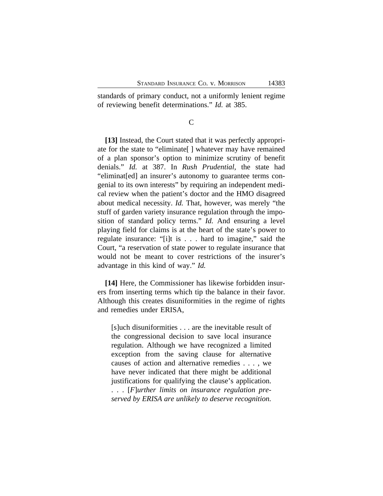standards of primary conduct, not a uniformly lenient regime of reviewing benefit determinations." *Id.* at 385.

C

**[13]** Instead, the Court stated that it was perfectly appropriate for the state to "eliminate[ ] whatever may have remained of a plan sponsor's option to minimize scrutiny of benefit denials." *Id.* at 387. In *Rush Prudential*, the state had "eliminat[ed] an insurer's autonomy to guarantee terms congenial to its own interests" by requiring an independent medical review when the patient's doctor and the HMO disagreed about medical necessity. *Id.* That, however, was merely "the stuff of garden variety insurance regulation through the imposition of standard policy terms." *Id.* And ensuring a level playing field for claims is at the heart of the state's power to regulate insurance: "[i]t is . . . hard to imagine," said the Court, "a reservation of state power to regulate insurance that would not be meant to cover restrictions of the insurer's advantage in this kind of way." *Id.*

**[14]** Here, the Commissioner has likewise forbidden insurers from inserting terms which tip the balance in their favor. Although this creates disuniformities in the regime of rights and remedies under ERISA,

[s]uch disuniformities . . . are the inevitable result of the congressional decision to save local insurance regulation. Although we have recognized a limited exception from the saving clause for alternative causes of action and alternative remedies . . . , we have never indicated that there might be additional justifications for qualifying the clause's application. . . . [*F*]*urther limits on insurance regulation preserved by ERISA are unlikely to deserve recognition.*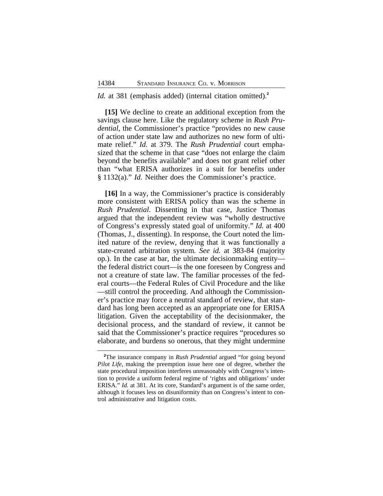#### *Id.* at 381 (emphasis added) (internal citation omitted).**<sup>2</sup>**

**[15]** We decline to create an additional exception from the savings clause here. Like the regulatory scheme in *Rush Prudential*, the Commissioner's practice "provides no new cause of action under state law and authorizes no new form of ultimate relief." *Id.* at 379. The *Rush Prudential* court emphasized that the scheme in that case "does not enlarge the claim beyond the benefits available" and does not grant relief other than "what ERISA authorizes in a suit for benefits under § 1132(a)." *Id.* Neither does the Commissioner's practice.

**[16]** In a way, the Commissioner's practice is considerably more consistent with ERISA policy than was the scheme in *Rush Prudential*. Dissenting in that case, Justice Thomas argued that the independent review was "wholly destructive of Congress's expressly stated goal of uniformity." *Id.* at 400 (Thomas, J., dissenting). In response, the Court noted the limited nature of the review, denying that it was functionally a state-created arbitration system. *See id.* at 383-84 (majority op.). In the case at bar, the ultimate decisionmaking entity the federal district court—is the one foreseen by Congress and not a creature of state law. The familiar processes of the federal courts—the Federal Rules of Civil Procedure and the like —still control the proceeding. And although the Commissioner's practice may force a neutral standard of review, that standard has long been accepted as an appropriate one for ERISA litigation. Given the acceptability of the decisionmaker, the decisional process, and the standard of review, it cannot be said that the Commissioner's practice requires "procedures so elaborate, and burdens so onerous, that they might undermine

**<sup>2</sup>**The insurance company in *Rush Prudential* argued "for going beyond *Pilot Life*, making the preemption issue here one of degree, whether the state procedural imposition interferes unreasonably with Congress's intention to provide a uniform federal regime of 'rights and obligations' under ERISA." *Id.* at 381. At its core, Standard's argument is of the same order, although it focuses less on disuniformity than on Congress's intent to control administrative and litigation costs.